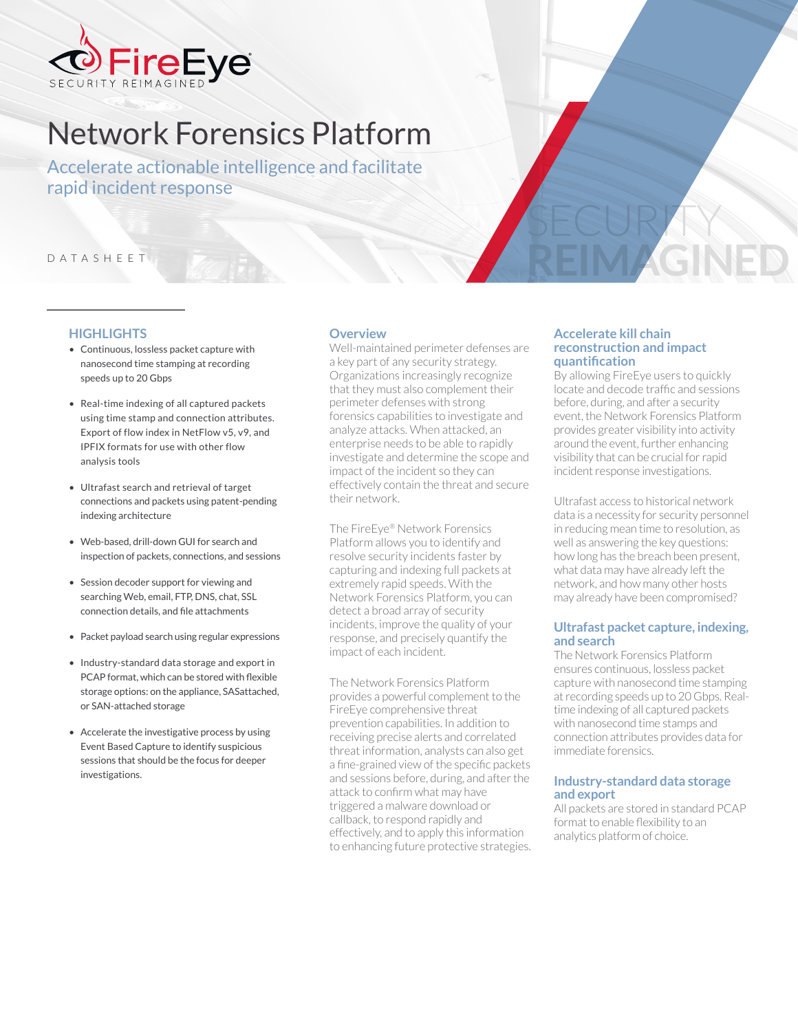

# Network Forensics Platform

Accelerate actionable intelligence and facilitate rapid incident response

### DATASHEET

## **HIGHLIGHTS**

- Continuous, lossless packet capture with nanosecond time stamping at recording speeds up to 20 Gbps
- Real-time indexing of all captured packets using time stamp and connection attributes. Export of flow index in NetFlow v5, v9, and IPFIX formats for use with other flow analysis tools
- Ultrafast search and retrieval of target connections and packets using patent-pending indexing architecture
- Web-based, drill-down GUI for search and inspection of packets, connections, and sessions
- Session decoder support for viewing and searching Web, email, FTP, DNS, chat, SSL connection details, and file attachments
- Packet payload search using regular expressions
- Industry-standard data storage and export in PCAP format, which can be stored with flexible storage options: on the appliance, SASattached, or SAN-attached storage
- Accelerate the investigative process by using Event Based Capture to identify suspicious sessions that should be the focus for deeper investigations.

#### **Overview**

Well-maintained perimeter defenses are a key part of any security strategy. Organizations increasingly recognize that they must also complement their perimeter defenses with strong forensics capabilities to investigate and analyze attacks. When attacked, an enterprise needs to be able to rapidly investigate and determine the scope and impact of the incident so they can effectively contain the threat and secure their network.

The FireEye® Network Forensics Platform allows you to identify and resolve security incidents faster by capturing and indexing full packets at extremely rapid speeds. With the Network Forensics Platform, you can detect a broad array of security incidents, improve the quality of your response, and precisely quantify the impact of each incident.

The Network Forensics Platform provides a powerful complement to the FireEye comprehensive threat prevention capabilities. In addition to receiving precise alerts and correlated threat information, analysts can also get a fine-grained view of the specific packets and sessions before, during, and after the attack to confirm what may have triggered a malware download or callback, to respond rapidly and effectively, and to apply this information to enhancing future protective strategies.

#### **Accelerate kill chain reconstruction and impact quantification**

SECURITY

**REIMAGINED**

By allowing FireEye users to quickly locate and decode traffic and sessions before, during, and after a security event, the Network Forensics Platform provides greater visibility into activity around the event, further enhancing visibility that can be crucial for rapid incident response investigations.

Ultrafast access to historical network data is a necessity for security personnel in reducing mean time to resolution, as well as answering the key questions: how long has the breach been present, what data may have already left the network, and how many other hosts may already have been compromised?

#### **Ultrafast packet capture, indexing, and search**

The Network Forensics Platform ensures continuous, lossless packet capture with nanosecond time stamping at recording speeds up to 20 Gbps. Realtime indexing of all captured packets with nanosecond time stamps and connection attributes provides data for immediate forensics.

#### **Industry-standard data storage and export**

All packets are stored in standard PCAP format to enable flexibility to an analytics platform of choice.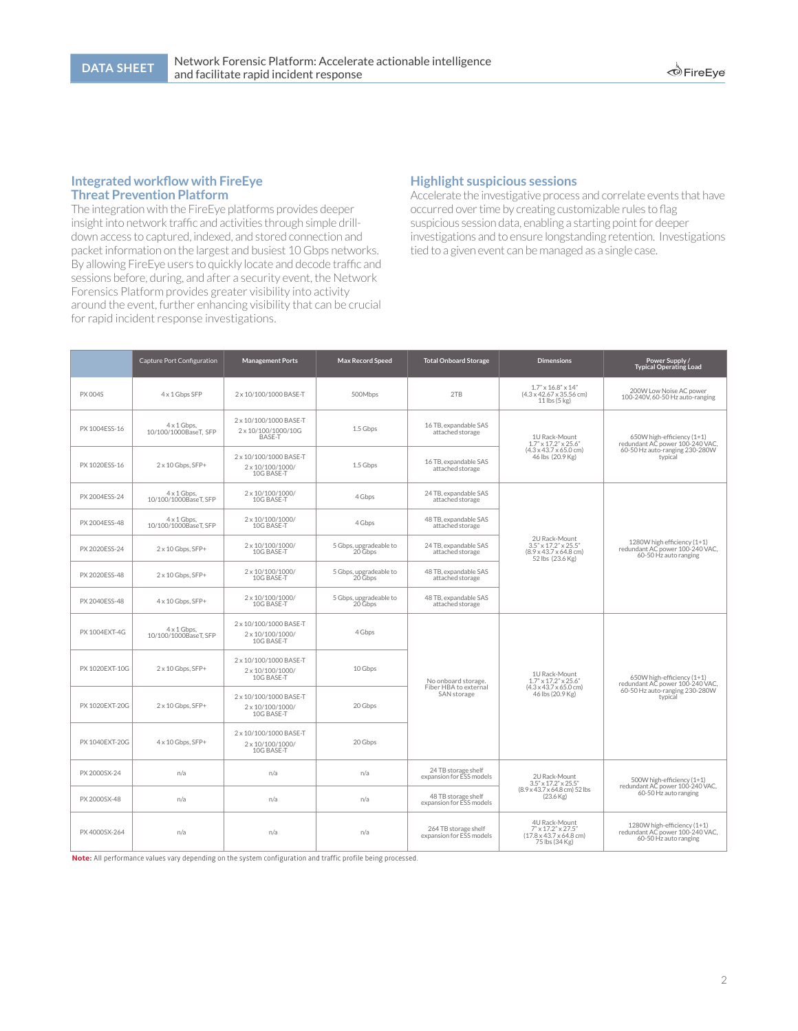#### **Integrated workflow with FireEye Threat Prevention Platform**

The integration with the FireEye platforms provides deeper insight into network traffic and activities through simple drilldown access to captured, indexed, and stored connection and packet information on the largest and busiest 10 Gbps networks. By allowing FireEye users to quickly locate and decode traffic and sessions before, during, and after a security event, the Network Forensics Platform provides greater visibility into activity around the event, further enhancing visibility that can be crucial for rapid incident response investigations.

## **Highlight suspicious sessions**

Accelerate the investigative process and correlate events that have occurred over time by creating customizable rules to flag suspicious session data, enabling a starting point for deeper investigations and to ensure longstanding retention. Investigations tied to a given event can be managed as a single case.

|                | Capture Port Configuration                  | <b>Management Ports</b>                                  | <b>Max Record Speed</b>           | <b>Total Onboard Storage</b>                     | <b>Dimensions</b>                                                                                                   | Power Supply /<br><b>Typical Operating Load</b>                                                            |
|----------------|---------------------------------------------|----------------------------------------------------------|-----------------------------------|--------------------------------------------------|---------------------------------------------------------------------------------------------------------------------|------------------------------------------------------------------------------------------------------------|
| <b>PX 004S</b> | 4 x 1 Gbps SFP                              | 2 x 10/100/1000 BASE-T                                   | 500Mbps                           | 2TB                                              | $1.7" \times 16.8" \times 14"$<br>$(4.3 \times 42.67 \times 35.56$ cm)<br>11 lbs (5 kg)                             | 200W Low Noise AC power<br>100-240V, 60-50 Hz auto-ranging                                                 |
| PX 1004ESS-16  | $4 \times 1$ Gbps,<br>10/100/1000BaseT, SFP | 2 x 10/100/1000 BASE-T<br>2 x 10/100/1000/10G<br>BASE-T  | 1.5 Gbps                          | 16 TB, expandable SAS<br>attached storage        | 1U Rack-Mount<br>$1.7" \times 17.2" \times 25.6"$<br>$(4.3 \times 43.7 \times 65.0 \text{ cm})$<br>46 lbs (20.9 Kg) | 650W high-efficiency (1+1)<br>redundant AC power 100-240 VAC,<br>60-50 Hz auto-ranging 230-280W<br>typical |
| PX 1020ESS-16  | 2 x 10 Gbps, SFP+                           | 2 x 10/100/1000 BASE-T<br>2 x 10/100/1000/<br>10G BASE-T | 1.5 Gbps                          | 16 TB, expandable SAS<br>attached storage        |                                                                                                                     |                                                                                                            |
| PX 2004ESS-24  | $4 \times 1$ Gbps,<br>10/100/1000BaseT, SFP | 2 x 10/100/1000/<br>10G BASE-T                           | 4 Gbps                            | 24 TB, expandable SAS<br>attached storage        | 2U Rack-Mount<br>$3.5'' \times 17.2'' \times 25.5''$<br>$(8.9 \times 43.7 \times 64.8$ cm)<br>52 lbs (23.6 Kg)      | 1280W high efficiency (1+1)<br>redundant AC power 100-240 VAC,<br>60-50 Hz auto ranging                    |
| PX 2004ESS-48  | $4 \times 1$ Gbps,<br>10/100/1000BaseT, SFP | 2 x 10/100/1000/<br>10G BASE-T                           | 4 Gbps                            | 48 TB, expandable SAS<br>attached storage        |                                                                                                                     |                                                                                                            |
| PX 2020ESS-24  | 2 x 10 Gbps, SFP+                           | 2 x 10/100/1000/<br>10G BASE-T                           | 5 Gbps, upgradeable to<br>20 Gbps | 24 TB, expandable SAS<br>attached storage        |                                                                                                                     |                                                                                                            |
| PX 2020ESS-48  | 2 x 10 Gbps, SFP+                           | 2 x 10/100/1000/<br>10G BASE-T                           | 5 Gbps, upgradeable to<br>20 Gbps | 48 TB, expandable SAS<br>attached storage        |                                                                                                                     |                                                                                                            |
| PX 2040ESS-48  | 4 x 10 Gbps, SFP+                           | 2 x 10/100/1000/<br>10G BASE-T                           | 5 Gbps, upgradeable to<br>20 Gbps | 48 TB, expandable SAS<br>attached storage        |                                                                                                                     |                                                                                                            |
| PX 1004EXT-4G  | $4 \times 1$ Gbps,<br>10/100/1000BaseT, SFP | 2 x 10/100/1000 BASE-T<br>2 x 10/100/1000/<br>10G BASE-T | 4 Gbps                            |                                                  | 1U Rack-Mount<br>$1.7" \times 17.2" \times 25.6"$<br>$(4.3 \times 43.7 \times 65.0 \text{ cm})$<br>46 lbs (20.9 Kg) | 650W high-efficiency (1+1)<br>redundant AC power 100-240 VAC,<br>60-50 Hz auto-ranging 230-280W<br>typical |
| PX 1020EXT-10G | 2 x 10 Gbps, SFP+                           | 2 x 10/100/1000 BASE-T<br>2 x 10/100/1000/<br>10G BASE-T | 10 Gbps                           | No onboard storage.                              |                                                                                                                     |                                                                                                            |
| PX 1020EXT-20G | $2 \times 10$ Gbps, SFP+                    | 2 x 10/100/1000 BASE-T<br>2 x 10/100/1000/<br>10G BASE-T | 20 Gbps                           | Fiber HBA to external<br>SAN storage             |                                                                                                                     |                                                                                                            |
| PX 1040EXT-20G | 4 x 10 Gbps, SFP+                           | 2 x 10/100/1000 BASE-T<br>2 x 10/100/1000/<br>10G BASE-T | 20 Gbps                           |                                                  |                                                                                                                     |                                                                                                            |
| PX 2000SX-24   | n/a                                         | n/a                                                      | n/a                               | 24 TB storage shelf<br>expansion for ESS models  | 2U Rack-Mount<br>$3.5" \times 17.2" \times 25.5"$<br>(8.9 x 43.7 x 64.8 cm) 52 lbs<br>$(23.6 \,\mathrm{Kg})$        | 500W high-efficiency (1+1)<br>redundant AC power 100-240 VAC,<br>60-50 Hz auto ranging                     |
| PX 2000SX-48   | n/a                                         | n/a                                                      | n/a                               | 48 TB storage shelf<br>expansion for ESS models  |                                                                                                                     |                                                                                                            |
| PX 4000SX-264  | n/a                                         | n/a                                                      | n/a                               | 264 TB storage shelf<br>expansion for ESS models | 4U Rack-Mount<br>7" x 17.2" x 27.5'<br>$(17.8 \times 43.7 \times 64.8 \text{ cm})$<br>75 lbs (34 Kg)                | 1280W high-efficiency (1+1)<br>redundant AC power 100-240 VAC,<br>60-50 Hz auto ranging                    |

**Note:** All performance values vary depending on the system configuration and traffic profile being processed.